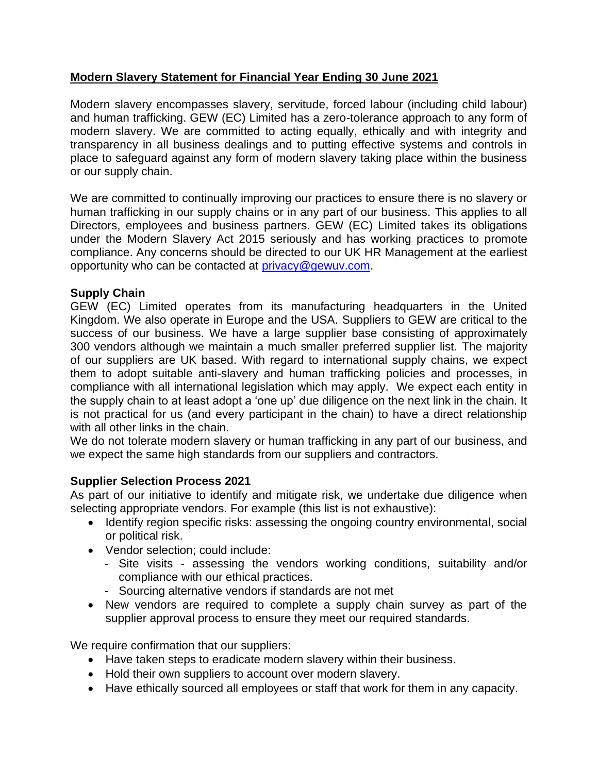# **Modern Slavery Statement for Financial Year Ending 30 June 2021**

Modern slavery encompasses slavery, servitude, forced labour (including child labour) and human trafficking. GEW (EC) Limited has a zero-tolerance approach to any form of modern slavery. We are committed to acting equally, ethically and with integrity and transparency in all business dealings and to putting effective systems and controls in place to safeguard against any form of modern slavery taking place within the business or our supply chain.

We are committed to continually improving our practices to ensure there is no slavery or human trafficking in our supply chains or in any part of our business. This applies to all Directors, employees and business partners. GEW (EC) Limited takes its obligations under the Modern Slavery Act 2015 seriously and has working practices to promote compliance. Any concerns should be directed to our UK HR Management at the earliest opportunity who can be contacted at [privacy@gewuv.com.](mailto:privacy@gewuv.com)

# **Supply Chain**

GEW (EC) Limited operates from its manufacturing headquarters in the United Kingdom. We also operate in Europe and the USA. Suppliers to GEW are critical to the success of our business. We have a large supplier base consisting of approximately 300 vendors although we maintain a much smaller preferred supplier list. The majority of our suppliers are UK based. With regard to international supply chains, we expect them to adopt suitable anti-slavery and human trafficking policies and processes, in compliance with all international legislation which may apply. We expect each entity in the supply chain to at least adopt a 'one up' due diligence on the next link in the chain. It is not practical for us (and every participant in the chain) to have a direct relationship with all other links in the chain.

We do not tolerate modern slavery or human trafficking in any part of our business, and we expect the same high standards from our suppliers and contractors.

# **Supplier Selection Process 2021**

As part of our initiative to identify and mitigate risk, we undertake due diligence when selecting appropriate vendors. For example (this list is not exhaustive):

- Identify region specific risks: assessing the ongoing country environmental, social or political risk.
- Vendor selection; could include:
	- Site visits assessing the vendors working conditions, suitability and/or compliance with our ethical practices.
	- Sourcing alternative vendors if standards are not met
- New vendors are required to complete a supply chain survey as part of the supplier approval process to ensure they meet our required standards.

We require confirmation that our suppliers:

- Have taken steps to eradicate modern slavery within their business.
- Hold their own suppliers to account over modern slavery.
- Have ethically sourced all employees or staff that work for them in any capacity.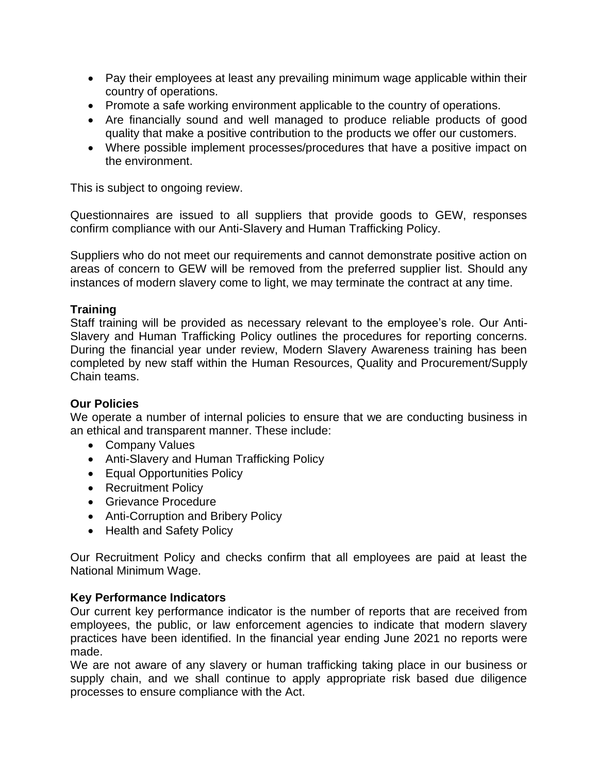- Pay their employees at least any prevailing minimum wage applicable within their country of operations.
- Promote a safe working environment applicable to the country of operations.
- Are financially sound and well managed to produce reliable products of good quality that make a positive contribution to the products we offer our customers.
- Where possible implement processes/procedures that have a positive impact on the environment.

This is subject to ongoing review.

Questionnaires are issued to all suppliers that provide goods to GEW, responses confirm compliance with our Anti-Slavery and Human Trafficking Policy.

Suppliers who do not meet our requirements and cannot demonstrate positive action on areas of concern to GEW will be removed from the preferred supplier list. Should any instances of modern slavery come to light, we may terminate the contract at any time.

### **Training**

Staff training will be provided as necessary relevant to the employee's role. Our Anti-Slavery and Human Trafficking Policy outlines the procedures for reporting concerns. During the financial year under review, Modern Slavery Awareness training has been completed by new staff within the Human Resources, Quality and Procurement/Supply Chain teams.

#### **Our Policies**

We operate a number of internal policies to ensure that we are conducting business in an ethical and transparent manner. These include:

- Company Values
- Anti-Slavery and Human Trafficking Policy
- Equal Opportunities Policy
- Recruitment Policy
- Grievance Procedure
- Anti-Corruption and Bribery Policy
- Health and Safety Policy

Our Recruitment Policy and checks confirm that all employees are paid at least the National Minimum Wage.

#### **Key Performance Indicators**

Our current key performance indicator is the number of reports that are received from employees, the public, or law enforcement agencies to indicate that modern slavery practices have been identified. In the financial year ending June 2021 no reports were made.

We are not aware of any slavery or human trafficking taking place in our business or supply chain, and we shall continue to apply appropriate risk based due diligence processes to ensure compliance with the Act.